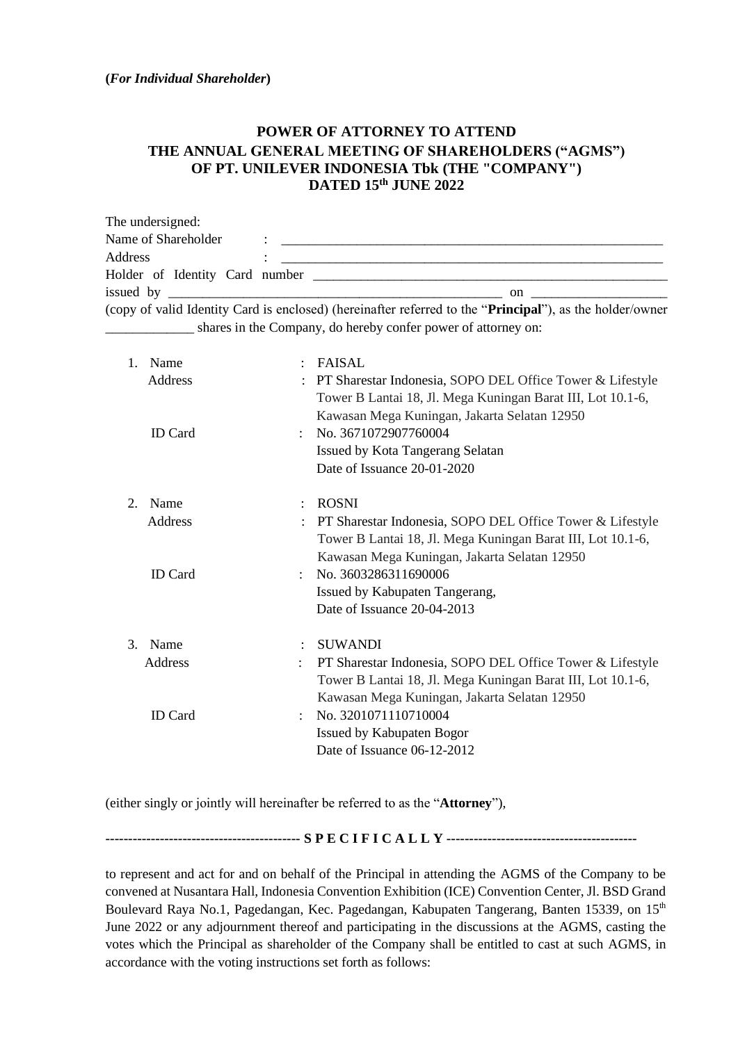## **POWER OF ATTORNEY TO ATTEND THE ANNUAL GENERAL MEETING OF SHAREHOLDERS ("AGMS") OF PT. UNILEVER INDONESIA Tbk (THE "COMPANY") DATED 15 th JUNE 2022**

| The undersigned:    |                                                                                                                                                                                                                                   |
|---------------------|-----------------------------------------------------------------------------------------------------------------------------------------------------------------------------------------------------------------------------------|
| Name of Shareholder | $\mathbf{1}$ , the contract of the contract of the contract of the contract of the contract of the contract of the contract of the contract of the contract of the contract of the contract of the contract of the contract of th |
| Address             |                                                                                                                                                                                                                                   |
|                     |                                                                                                                                                                                                                                   |
|                     | $\mathbf{on}$                                                                                                                                                                                                                     |
|                     | (copy of valid Identity Card is enclosed) (hereinafter referred to the " <b>Principal</b> "), as the holder/owner                                                                                                                 |
|                     | shares in the Company, do hereby confer power of attorney on:                                                                                                                                                                     |

| $1_{-}$ | Name           |                      | <b>FAISAL</b>                                                                                                            |
|---------|----------------|----------------------|--------------------------------------------------------------------------------------------------------------------------|
|         | Address        |                      | PT Sharestar Indonesia, SOPO DEL Office Tower & Lifestyle<br>Tower B Lantai 18, Jl. Mega Kuningan Barat III, Lot 10.1-6, |
|         |                |                      | Kawasan Mega Kuningan, Jakarta Selatan 12950                                                                             |
|         | <b>ID</b> Card |                      | No. 3671072907760004                                                                                                     |
|         |                |                      | Issued by Kota Tangerang Selatan                                                                                         |
|         |                |                      | Date of Issuance 20-01-2020                                                                                              |
| 2.      | Name           | $\ddot{\phantom{a}}$ | <b>ROSNI</b>                                                                                                             |
|         | Address        |                      | PT Sharestar Indonesia, SOPO DEL Office Tower & Lifestyle<br>Tower B Lantai 18, Jl. Mega Kuningan Barat III, Lot 10.1-6, |
|         |                |                      | Kawasan Mega Kuningan, Jakarta Selatan 12950                                                                             |
|         | <b>ID</b> Card |                      | No. 3603286311690006                                                                                                     |
|         |                |                      | Issued by Kabupaten Tangerang,                                                                                           |
|         |                |                      | Date of Issuance 20-04-2013                                                                                              |
| 3.      | Name           |                      | <b>SUWANDI</b>                                                                                                           |
|         | Address        |                      | PT Sharestar Indonesia, SOPO DEL Office Tower & Lifestyle                                                                |
|         |                |                      | Tower B Lantai 18, Jl. Mega Kuningan Barat III, Lot 10.1-6,                                                              |
|         |                |                      | Kawasan Mega Kuningan, Jakarta Selatan 12950                                                                             |
|         | <b>ID</b> Card |                      | No. 3201071110710004                                                                                                     |
|         |                |                      | <b>Issued by Kabupaten Bogor</b><br>Date of Issuance 06-12-2012                                                          |
|         |                |                      |                                                                                                                          |

(either singly or jointly will hereinafter be referred to as the "**Attorney**"),

**------------------------------------------- S P E C I F I C A L L Y ------------------------------------------**

to represent and act for and on behalf of the Principal in attending the AGMS of the Company to be convened at Nusantara Hall, Indonesia Convention Exhibition (ICE) Convention Center, Jl. BSD Grand Boulevard Raya No.1, Pagedangan, Kec. Pagedangan, Kabupaten Tangerang, Banten 15339, on 15<sup>th</sup> June 2022 or any adjournment thereof and participating in the discussions at the AGMS, casting the votes which the Principal as shareholder of the Company shall be entitled to cast at such AGMS, in accordance with the voting instructions set forth as follows: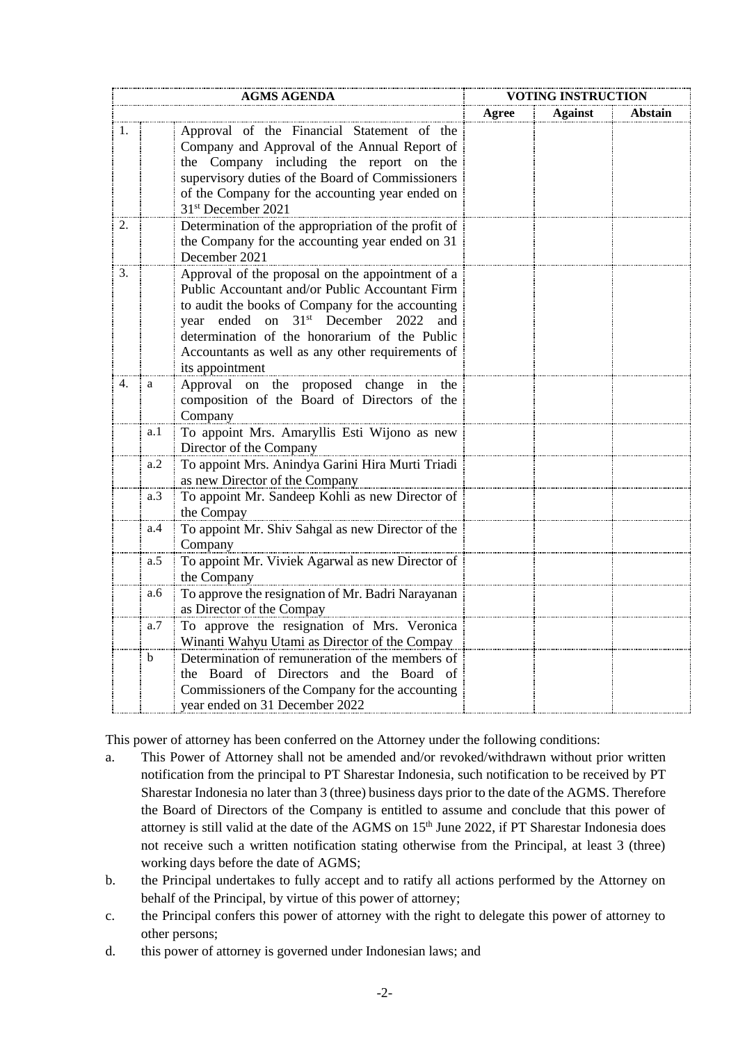|    |      | <b>AGMS AGENDA</b>                                                                                                                                                                                                                                                                                                                           | <b>VOTING INSTRUCTION</b> |                |                |
|----|------|----------------------------------------------------------------------------------------------------------------------------------------------------------------------------------------------------------------------------------------------------------------------------------------------------------------------------------------------|---------------------------|----------------|----------------|
|    |      |                                                                                                                                                                                                                                                                                                                                              | Agree                     | <b>Against</b> | <b>Abstain</b> |
| 1. |      | Approval of the Financial Statement of the<br>Company and Approval of the Annual Report of<br>the Company including the report on the<br>supervisory duties of the Board of Commissioners<br>of the Company for the accounting year ended on<br>31 <sup>st</sup> December 2021                                                               |                           |                |                |
| 2. |      | Determination of the appropriation of the profit of<br>the Company for the accounting year ended on 31<br>December 2021                                                                                                                                                                                                                      |                           |                |                |
| 3. |      | Approval of the proposal on the appointment of a<br>Public Accountant and/or Public Accountant Firm<br>to audit the books of Company for the accounting<br>on 31 <sup>st</sup> December 2022<br>ended<br>year<br>and<br>determination of the honorarium of the Public<br>Accountants as well as any other requirements of<br>its appointment |                           |                |                |
| 4. | a    | Approval on the proposed change in<br>the<br>composition of the Board of Directors of the<br>Company                                                                                                                                                                                                                                         |                           |                |                |
|    | a. 1 | To appoint Mrs. Amaryllis Esti Wijono as new<br>Director of the Company                                                                                                                                                                                                                                                                      |                           |                |                |
|    | a.2  | To appoint Mrs. Anindya Garini Hira Murti Triadi<br>as new Director of the Company                                                                                                                                                                                                                                                           |                           |                |                |
|    | a.3  | To appoint Mr. Sandeep Kohli as new Director of<br>the Compay                                                                                                                                                                                                                                                                                |                           |                |                |
|    | a.4  | To appoint Mr. Shiv Sahgal as new Director of the<br>Company                                                                                                                                                                                                                                                                                 |                           |                |                |
|    | a.5  | To appoint Mr. Viviek Agarwal as new Director of<br>the Company                                                                                                                                                                                                                                                                              |                           |                |                |
|    | a.6  | To approve the resignation of Mr. Badri Narayanan<br>as Director of the Compay                                                                                                                                                                                                                                                               |                           |                |                |
|    | a.7  | To approve the resignation of Mrs. Veronica<br>Winanti Wahyu Utami as Director of the Compay                                                                                                                                                                                                                                                 |                           |                |                |
|    | b    | Determination of remuneration of the members of<br>the Board of Directors and the Board of<br>Commissioners of the Company for the accounting<br>year ended on 31 December 2022                                                                                                                                                              |                           |                |                |

This power of attorney has been conferred on the Attorney under the following conditions:

- a. This Power of Attorney shall not be amended and/or revoked/withdrawn without prior written notification from the principal to PT Sharestar Indonesia, such notification to be received by PT Sharestar Indonesia no later than 3 (three) business days prior to the date of the AGMS. Therefore the Board of Directors of the Company is entitled to assume and conclude that this power of attorney is still valid at the date of the AGMS on 15<sup>th</sup> June 2022, if PT Sharestar Indonesia does not receive such a written notification stating otherwise from the Principal, at least 3 (three) working days before the date of AGMS;
- b. the Principal undertakes to fully accept and to ratify all actions performed by the Attorney on behalf of the Principal, by virtue of this power of attorney;
- c. the Principal confers this power of attorney with the right to delegate this power of attorney to other persons;
- d. this power of attorney is governed under Indonesian laws; and